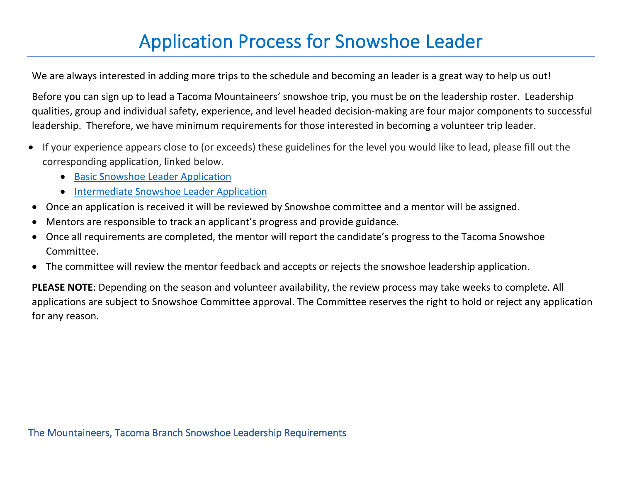## Application Process for Snowshoe Leader

We are always interested in adding more trips to the schedule and becoming an leader is a great way to help us out!

Before you can sign up to lead a Tacoma Mountaineers' snowshoe trip, you must be on the leadership roster. Leadership qualities, group and individual safety, experience, and level headed decision-making are four major components to successful leadership. Therefore, we have minimum requirements for those interested in becoming a volunteer trip leader.

- If your experience appears close to (or exceeds) these guidelines for the level you would like to lead, please fill out the corresponding application, linked below.
	- [Basic Snowshoe Leader Application](https://docs.google.com/forms/d/12KqqOe5tIL-VSeGgXFtv9-khsFrhlEQge3vROsmJzs0/edit)
	- [Intermediate Snowshoe Leader Application](https://docs.google.com/forms/d/1DA0WaQv0U3uWhAbZtmLeI3J9OLT6ovEAA0PHwM-dhKU/edit)
- Once an application is received it will be reviewed by Snowshoe committee and a mentor will be assigned.
- Mentors are responsible to track an applicant's progress and provide guidance.
- Once all requirements are completed, the mentor will report the candidate's progress to the Tacoma Snowshoe Committee.
- The committee will review the mentor feedback and accepts or rejects the snowshoe leadership application.

**PLEASE NOTE**: Depending on the season and volunteer availability, the review process may take weeks to complete. All applications are subject to Snowshoe Committee approval. The Committee reserves the right to hold or reject any application for any reason.